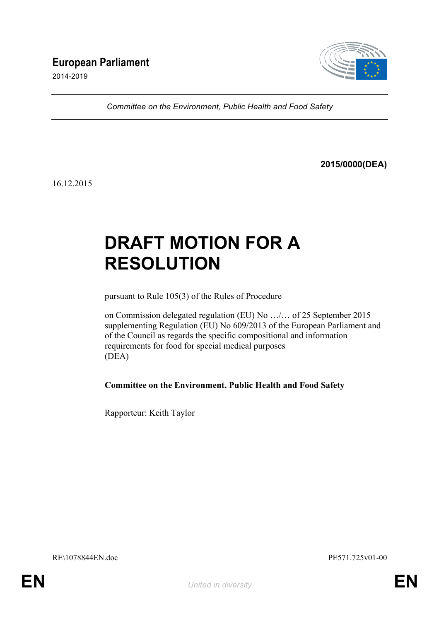# **European Parliament**

2014-2019



*Committee on the Environment, Public Health and Food Safety*

**2015/0000(DEA)**

16.12.2015

# **DRAFT MOTION FOR A RESOLUTION**

pursuant to Rule 105(3) of the Rules of Procedure

on Commission delegated regulation (EU) No …/… of 25 September 2015 supplementing Regulation (EU) No 609/2013 of the European Parliament and of the Council as regards the specific compositional and information requirements for food for special medical purposes (DEA)

**Committee on the Environment, Public Health and Food Safety**

Rapporteur: Keith Taylor

RE\1078844EN.doc PE571.725v01-00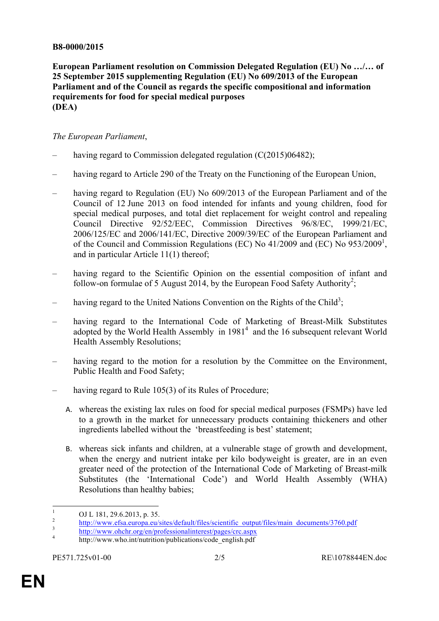#### **B8-0000/2015**

**European Parliament resolution on Commission Delegated Regulation (EU) No …/… of 25 September 2015 supplementing Regulation (EU) No 609/2013 of the European Parliament and of the Council as regards the specific compositional and information requirements for food for special medical purposes (DEA)**

#### *The European Parliament*,

- having regard to Commission delegated regulation  $(C(2015)06482)$ ;
- having regard to Article 290 of the Treaty on the Functioning of the European Union,
- having regard to Regulation (EU) No 609/2013 of the European Parliament and of the Council of 12 June 2013 on food intended for infants and young children, food for special medical purposes, and total diet replacement for weight control and repealing Council Directive 92/52/EEC, Commission Directives 96/8/EC, 1999/21/EC, 2006/125/EC and 2006/141/EC, Directive 2009/39/EC of the European Parliament and of the Council and Commission Regulations (EC) No 41/2009 and (EC) No 953/2009<sup>1</sup>, and in particular Article 11(1) thereof;
- having regard to the Scientific Opinion on the essential composition of infant and follow-on formulae of 5 August 2014, by the European Food Safety Authority<sup>2</sup>;
- having regard to the United Nations Convention on the Rights of the Child<sup>3</sup>;
- having regard to the International Code of Marketing of Breast-Milk Substitutes adopted by the World Health Assembly in  $1981<sup>4</sup>$  and the 16 subsequent relevant World Health Assembly Resolutions;
- having regard to the motion for a resolution by the Committee on the Environment, Public Health and Food Safety;
- having regard to Rule 105(3) of its Rules of Procedure;
	- A. whereas the existing lax rules on food for special medical purposes (FSMPs) have led to a growth in the market for unnecessary products containing thickeners and other ingredients labelled without the 'breastfeeding is best' statement;
	- B. whereas sick infants and children, at a vulnerable stage of growth and development, when the energy and nutrient intake per kilo bodyweight is greater, are in an even greater need of the protection of the International Code of Marketing of Breast-milk Substitutes (the 'International Code') and World Health Assembly (WHA) Resolutions than healthy babies;

<sup>&</sup>lt;sup>1</sup> OJ L 181, 29.6.2013, p. 35.<br>
http://www.efsa.europa.eu/sites/default/files/scientific\_output/files/main\_documents/3760.pdf<br>
<sup>2</sup> http://www.ohchr.org/en/professionalinterest/pages/crc.aspx<br>
<sup>4</sup> http://www.who.int/nutrit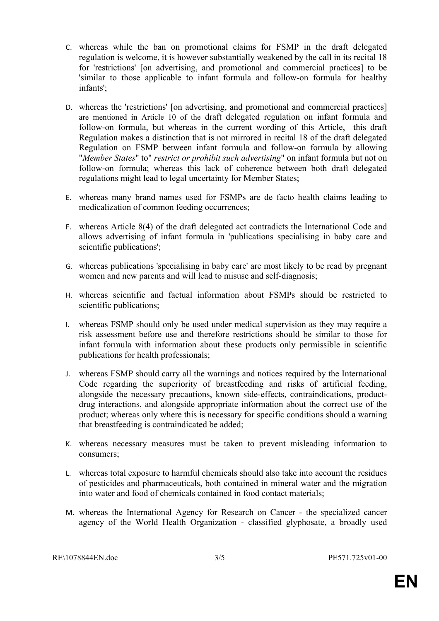- C. whereas while the ban on promotional claims for FSMP in the draft delegated regulation is welcome, it is however substantially weakened by the call in its recital 18 for 'restrictions' [on advertising, and promotional and commercial practices] to be 'similar to those applicable to infant formula and follow-on formula for healthy infants';
- D. whereas the 'restrictions' [on advertising, and promotional and commercial practices] are mentioned in Article 10 of the draft delegated regulation on infant formula and follow-on formula, but whereas in the current wording of this Article, this draft Regulation makes a distinction that is not mirrored in recital 18 of the draft delegated Regulation on FSMP between infant formula and follow-on formula by allowing "*Member States*" to" *restrict or prohibit such advertising*" on infant formula but not on follow-on formula; whereas this lack of coherence between both draft delegated regulations might lead to legal uncertainty for Member States;
- E. whereas many brand names used for FSMPs are de facto health claims leading to medicalization of common feeding occurrences;
- F. whereas Article 8(4) of the draft delegated act contradicts the International Code and allows advertising of infant formula in 'publications specialising in baby care and scientific publications';
- G. whereas publications 'specialising in baby care' are most likely to be read by pregnant women and new parents and will lead to misuse and self-diagnosis;
- H. whereas scientific and factual information about FSMPs should be restricted to scientific publications;
- I. whereas FSMP should only be used under medical supervision as they may require a risk assessment before use and therefore restrictions should be similar to those for infant formula with information about these products only permissible in scientific publications for health professionals;
- J. whereas FSMP should carry all the warnings and notices required by the International Code regarding the superiority of breastfeeding and risks of artificial feeding, alongside the necessary precautions, known side-effects, contraindications, productdrug interactions, and alongside appropriate information about the correct use of the product; whereas only where this is necessary for specific conditions should a warning that breastfeeding is contraindicated be added;
- K. whereas necessary measures must be taken to prevent misleading information to consumers;
- L. whereas total exposure to harmful chemicals should also take into account the residues of pesticides and pharmaceuticals, both contained in mineral water and the migration into water and food of chemicals contained in food contact materials;
- M. whereas the International Agency for Research on Cancer the specialized cancer agency of the World Health Organization - classified glyphosate, a broadly used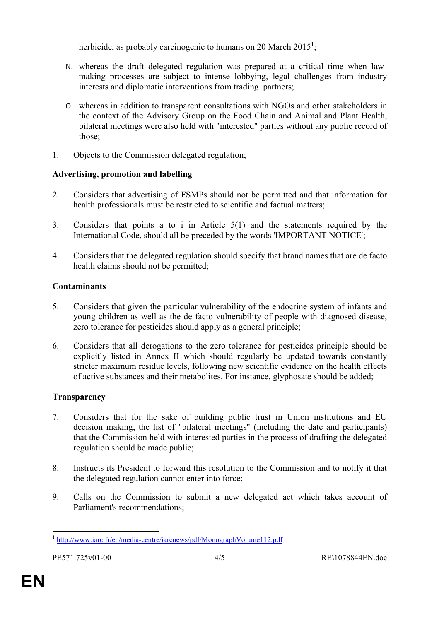herbicide, as probably carcinogenic to humans on 20 March 2015<sup>1</sup>;

- N. whereas the draft delegated regulation was prepared at a critical time when lawmaking processes are subject to intense lobbying, legal challenges from industry interests and diplomatic interventions from trading partners;
- O. whereas in addition to transparent consultations with NGOs and other stakeholders in the context of the Advisory Group on the Food Chain and Animal and Plant Health, bilateral meetings were also held with "interested" parties without any public record of those;
- 1. Objects to the Commission delegated regulation;

### **Advertising, promotion and labelling**

- 2. Considers that advertising of FSMPs should not be permitted and that information for health professionals must be restricted to scientific and factual matters;
- 3. Considers that points a to i in Article 5(1) and the statements required by the International Code, should all be preceded by the words 'IMPORTANT NOTICE';
- 4. Considers that the delegated regulation should specify that brand names that are de facto health claims should not be permitted;

# **Contaminants**

- 5. Considers that given the particular vulnerability of the endocrine system of infants and young children as well as the de facto vulnerability of people with diagnosed disease, zero tolerance for pesticides should apply as a general principle;
- 6. Considers that all derogations to the zero tolerance for pesticides principle should be explicitly listed in Annex II which should regularly be updated towards constantly stricter maximum residue levels, following new scientific evidence on the health effects of active substances and their metabolites. For instance, glyphosate should be added;

# **Transparency**

- 7. Considers that for the sake of building public trust in Union institutions and EU decision making, the list of "bilateral meetings" (including the date and participants) that the Commission held with interested parties in the process of drafting the delegated regulation should be made public;
- 8. Instructs its President to forward this resolution to the Commission and to notify it that the delegated regulation cannot enter into force;
- 9. Calls on the Commission to submit a new delegated act which takes account of Parliament's recommendations;

<sup>&</sup>lt;sup>1</sup> http://www.iarc.fr/en/media-centre/iarcnews/pdf/MonographVolume112.pdf